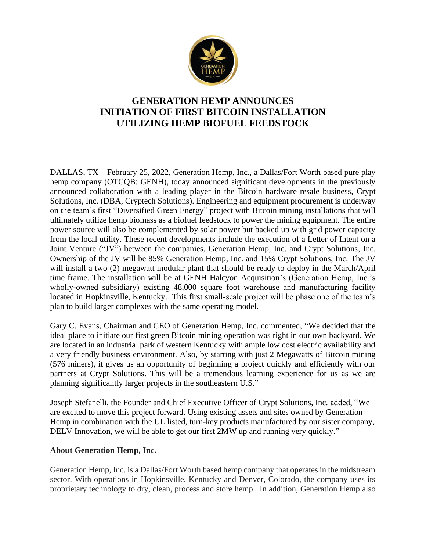

# **GENERATION HEMP ANNOUNCES INITIATION OF FIRST BITCOIN INSTALLATION UTILIZING HEMP BIOFUEL FEEDSTOCK**

DALLAS, TX – February 25, 2022, Generation Hemp, Inc., a Dallas/Fort Worth based pure play hemp company (OTCQB: GENH), today announced significant developments in the previously announced collaboration with a leading player in the Bitcoin hardware resale business, Crypt Solutions, Inc. (DBA, Cryptech Solutions). Engineering and equipment procurement is underway on the team's first "Diversified Green Energy" project with Bitcoin mining installations that will ultimately utilize hemp biomass as a biofuel feedstock to power the mining equipment. The entire power source will also be complemented by solar power but backed up with grid power capacity from the local utility. These recent developments include the execution of a Letter of Intent on a Joint Venture ("JV") between the companies, Generation Hemp, Inc. and Crypt Solutions, Inc. Ownership of the JV will be 85% Generation Hemp, Inc. and 15% Crypt Solutions, Inc. The JV will install a two (2) megawatt modular plant that should be ready to deploy in the March/April time frame. The installation will be at GENH Halcyon Acquisition's (Generation Hemp, Inc.'s wholly-owned subsidiary) existing 48,000 square foot warehouse and manufacturing facility located in Hopkinsville, Kentucky. This first small-scale project will be phase one of the team's plan to build larger complexes with the same operating model.

Gary C. Evans, Chairman and CEO of Generation Hemp, Inc. commented, "We decided that the ideal place to initiate our first green Bitcoin mining operation was right in our own backyard. We are located in an industrial park of western Kentucky with ample low cost electric availability and a very friendly business environment. Also, by starting with just 2 Megawatts of Bitcoin mining (576 miners), it gives us an opportunity of beginning a project quickly and efficiently with our partners at Crypt Solutions. This will be a tremendous learning experience for us as we are planning significantly larger projects in the southeastern U.S."

Joseph Stefanelli, the Founder and Chief Executive Officer of Crypt Solutions, Inc. added, "We are excited to move this project forward. Using existing assets and sites owned by Generation Hemp in combination with the UL listed, turn-key products manufactured by our sister company, DELV Innovation, we will be able to get our first 2MW up and running very quickly."

#### **About Generation Hemp, Inc.**

Generation Hemp, Inc. is a Dallas/Fort Worth based hemp company that operates in the midstream sector. With operations in Hopkinsville, Kentucky and Denver, Colorado, the company uses its proprietary technology to dry, clean, process and store hemp. In addition, Generation Hemp also